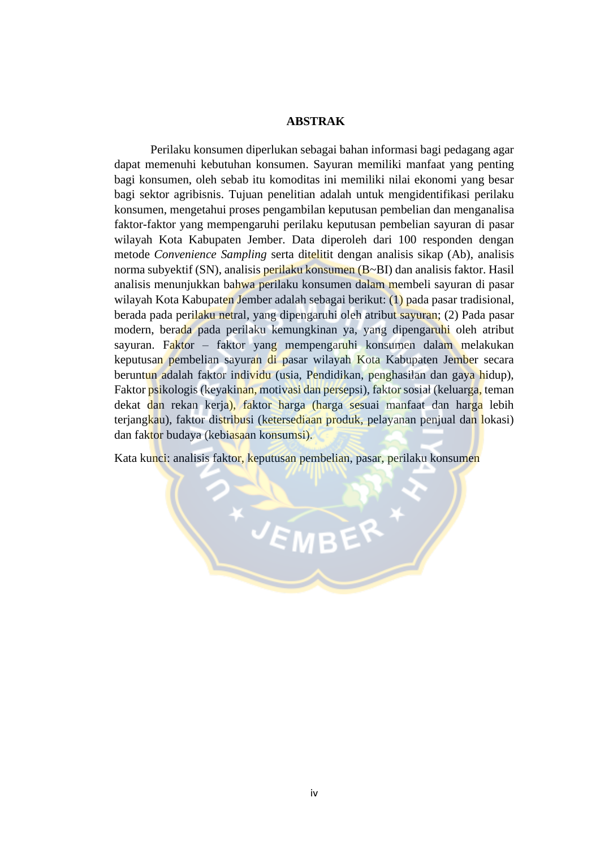## **ABSTRAK**

Perilaku konsumen diperlukan sebagai bahan informasi bagi pedagang agar dapat memenuhi kebutuhan konsumen. Sayuran memiliki manfaat yang penting bagi konsumen, oleh sebab itu komoditas ini memiliki nilai ekonomi yang besar bagi sektor agribisnis. Tujuan penelitian adalah untuk mengidentifikasi perilaku konsumen, mengetahui proses pengambilan keputusan pembelian dan menganalisa faktor-faktor yang mempengaruhi perilaku keputusan pembelian sayuran di pasar wilayah Kota Kabupaten Jember. Data diperoleh dari 100 responden dengan metode *Convenience Sampling* serta ditelitit dengan analisis sikap (Ab), analisis norma subyektif (SN), analisis perilaku konsumen (B~BI) dan analisis faktor. Hasil analisis menunjukkan bahwa perilaku konsumen dalam membeli sayuran di pasar wilayah Kota Kabupaten Jember adalah sebagai berikut: (1) pada pasar tradisional, berada pada perilaku netral, yang dipengaruhi oleh atribut sayuran; (2) Pada pasar modern, berada pada perilaku kemungkinan ya, yang dipengaruhi oleh atribut sayuran. Faktor – faktor yang mempengaruhi konsumen dalam melakukan keputusan pembelian sayuran di pasar wilayah Kota Kabupaten Jember secara beruntun adalah faktor individu (usia, Pendidikan, penghasilan dan gaya hidup), Faktor psikologis (keyakinan, motivasi dan persepsi), faktor sosial (keluarga, teman dekat dan rekan kerja), faktor harga (harga sesuai manfaat dan harga lebih terjangkau), faktor distribusi (ketersediaan produk, pelayanan penjual dan lokasi) dan faktor budaya (kebiasaan konsumsi).

Kata kunci: analisis faktor, keputusan pembelian, pasar, perilaku konsumen

+ JEMBER